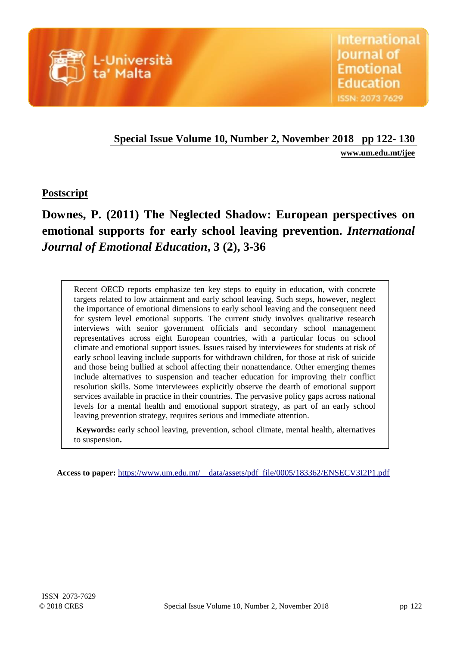

# **Special Issue Volume 10, Number 2, November 2018 pp 122- 130**

**[www.um.edu.mt/ijee](http://www.um.edu.mt/ijee)**

# **Postscript**

# **Downes, P. (2011) The Neglected Shadow: European perspectives on emotional supports for early school leaving prevention.** *International Journal of Emotional Education***, 3 (2), 3-36**

Recent OECD reports emphasize ten key steps to equity in education, with concrete targets related to low attainment and early school leaving. Such steps, however, neglect the importance of emotional dimensions to early school leaving and the consequent need for system level emotional supports. The current study involves qualitative research interviews with senior government officials and secondary school management representatives across eight European countries, with a particular focus on school climate and emotional support issues. Issues raised by interviewees for students at risk of early school leaving include supports for withdrawn children, for those at risk of suicide and those being bullied at school affecting their nonattendance. Other emerging themes include alternatives to suspension and teacher education for improving their conflict resolution skills. Some interviewees explicitly observe the dearth of emotional support services available in practice in their countries. The pervasive policy gaps across national levels for a mental health and emotional support strategy, as part of an early school leaving prevention strategy, requires serious and immediate attention.

**Keywords:** early school leaving, prevention, school climate, mental health, alternatives to suspension**.**

 **Access to paper:** [https://www.um.edu.mt/\\_\\_data/assets/pdf\\_file/0005/183362/ENSECV3I2P1.pdf](https://www.um.edu.mt/__data/assets/pdf_file/0005/183362/ENSECV3I2P1.pdf)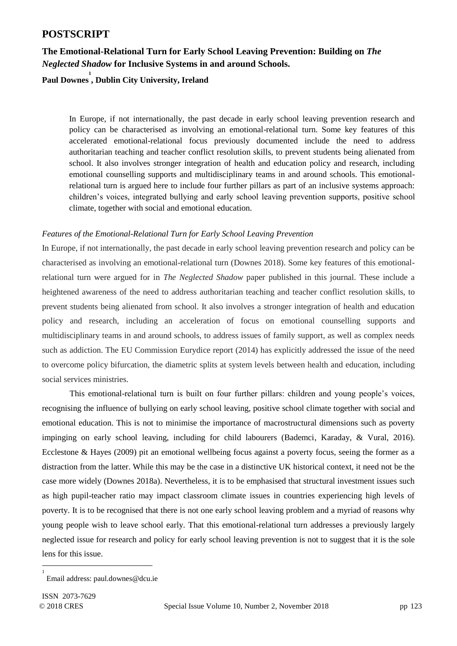# **POSTSCRIPT**

## **The Emotional-Relational Turn for Early School Leaving Prevention: Building on** *The Neglected Shadow* **for Inclusive Systems in and around Schools.**

# **Paul Downes 1 , Dublin City University, Ireland**

In Europe, if not internationally, the past decade in early school leaving prevention research and policy can be characterised as involving an emotional-relational turn. Some key features of this accelerated emotional-relational focus previously documented include the need to address authoritarian teaching and teacher conflict resolution skills, to prevent students being alienated from school. It also involves stronger integration of health and education policy and research, including emotional counselling supports and multidisciplinary teams in and around schools. This emotionalrelational turn is argued here to include four further pillars as part of an inclusive systems approach: children's voices, integrated bullying and early school leaving prevention supports, positive school climate, together with social and emotional education.

#### *Features of the Emotional-Relational Turn for Early School Leaving Prevention*

In Europe, if not internationally, the past decade in early school leaving prevention research and policy can be characterised as involving an emotional-relational turn (Downes 2018). Some key features of this emotionalrelational turn were argued for in *The Neglected Shadow* paper published in this journal. These include a heightened awareness of the need to address authoritarian teaching and teacher conflict resolution skills, to prevent students being alienated from school. It also involves a stronger integration of health and education policy and research, including an acceleration of focus on emotional counselling supports and multidisciplinary teams in and around schools, to address issues of family support, as well as complex needs such as addiction. The EU Commission Eurydice report (2014) has explicitly addressed the issue of the need to overcome policy bifurcation, the diametric splits at system levels between health and education, including social services ministries.

This emotional-relational turn is built on four further pillars: children and young people's voices, recognising the influence of bullying on early school leaving, positive school climate together with social and emotional education. This is not to minimise the importance of macrostructural dimensions such as poverty impinging on early school leaving, including for child labourers (Bademci, Karaday, & Vural, 2016). Ecclestone & Hayes (2009) pit an emotional wellbeing focus against a poverty focus, seeing the former as a distraction from the latter. While this may be the case in a distinctive UK historical context, it need not be the case more widely (Downes 2018a). Nevertheless, it is to be emphasised that structural investment issues such as high pupil-teacher ratio may impact classroom climate issues in countries experiencing high levels of poverty. It is to be recognised that there is not one early school leaving problem and a myriad of reasons why young people wish to leave school early. That this emotional-relational turn addresses a previously largely neglected issue for research and policy for early school leaving prevention is not to suggest that it is the sole lens for this issue.

-

<sup>1</sup> Email address: paul.downes@dcu.ie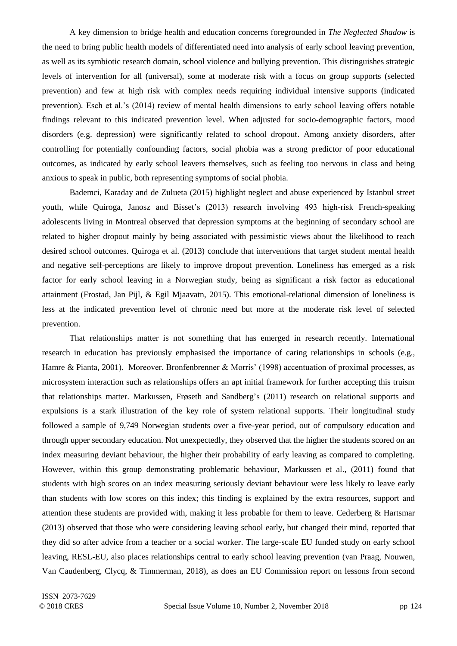A key dimension to bridge health and education concerns foregrounded in *The Neglected Shadow* is the need to bring public health models of differentiated need into analysis of early school leaving prevention, as well as its symbiotic research domain, school violence and bullying prevention. This distinguishes strategic levels of intervention for all (universal), some at moderate risk with a focus on group supports (selected prevention) and few at high risk with complex needs requiring individual intensive supports (indicated prevention). Esch et al.'s (2014) review of mental health dimensions to early school leaving offers notable findings relevant to this indicated prevention level. When adjusted for socio-demographic factors, mood disorders (e.g. depression) were significantly related to school dropout. Among anxiety disorders, after controlling for potentially confounding factors, social phobia was a strong predictor of poor educational outcomes, as indicated by early school leavers themselves, such as feeling too nervous in class and being anxious to speak in public, both representing symptoms of social phobia.

Bademci, Karaday and de Zulueta (2015) highlight neglect and abuse experienced by Istanbul street youth, while Quiroga, Janosz and Bisset's (2013) research involving 493 high-risk French-speaking adolescents living in Montreal observed that depression symptoms at the beginning of secondary school are related to higher dropout mainly by being associated with pessimistic views about the likelihood to reach desired school outcomes. Quiroga et al. (2013) conclude that interventions that target student mental health and negative self-perceptions are likely to improve dropout prevention. Loneliness has emerged as a risk factor for early school leaving in a Norwegian study, being as significant a risk factor as educational attainment (Frostad, Jan Pijl, & Egil Mjaavatn, 2015). This emotional-relational dimension of loneliness is less at the indicated prevention level of chronic need but more at the moderate risk level of selected prevention.

That relationships matter is not something that has emerged in research recently. International research in education has previously emphasised the importance of caring relationships in schools (e.g., Hamre & Pianta, 2001). Moreover, Bronfenbrenner & Morris' (1998) accentuation of proximal processes, as microsystem interaction such as relationships offers an apt initial framework for further accepting this truism that relationships matter. Markussen, Frøseth and Sandberg's (2011) research on relational supports and expulsions is a stark illustration of the key role of system relational supports. Their longitudinal study followed a sample of 9,749 Norwegian students over a five-year period, out of compulsory education and through upper secondary education. Not unexpectedly, they observed that the higher the students scored on an index measuring deviant behaviour, the higher their probability of early leaving as compared to completing. However, within this group demonstrating problematic behaviour, Markussen et al., (2011) found that students with high scores on an index measuring seriously deviant behaviour were less likely to leave early than students with low scores on this index; this finding is explained by the extra resources, support and attention these students are provided with, making it less probable for them to leave. Cederberg & Hartsmar (2013) observed that those who were considering leaving school early, but changed their mind, reported that they did so after advice from a teacher or a social worker. The large-scale EU funded study on early school leaving, RESL-EU, also places relationships central to early school leaving prevention (van Praag, Nouwen, Van Caudenberg, Clycq, & Timmerman, 2018), as does an EU Commission report on lessons from second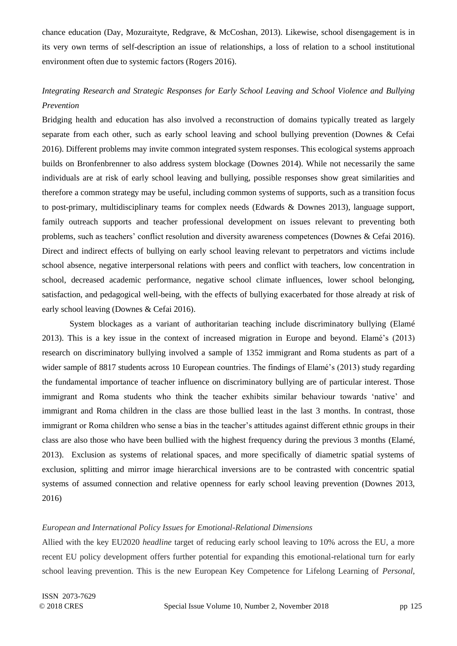chance education (Day, Mozuraityte, Redgrave, & McCoshan, 2013). Likewise, school disengagement is in its very own terms of self-description an issue of relationships, a loss of relation to a school institutional environment often due to systemic factors (Rogers 2016).

# *Integrating Research and Strategic Responses for Early School Leaving and School Violence and Bullying Prevention*

Bridging health and education has also involved a reconstruction of domains typically treated as largely separate from each other, such as early school leaving and school bullying prevention (Downes & Cefai 2016). Different problems may invite common integrated system responses. This ecological systems approach builds on Bronfenbrenner to also address system blockage (Downes 2014). While not necessarily the same individuals are at risk of early school leaving and bullying, possible responses show great similarities and therefore a common strategy may be useful, including common systems of supports, such as a transition focus to post-primary, multidisciplinary teams for complex needs (Edwards & Downes 2013), language support, family outreach supports and teacher professional development on issues relevant to preventing both problems, such as teachers' conflict resolution and diversity awareness competences (Downes & Cefai 2016). Direct and indirect effects of bullying on early school leaving relevant to perpetrators and victims include school absence, negative interpersonal relations with peers and conflict with teachers, low concentration in school, decreased academic performance, negative school climate influences, lower school belonging, satisfaction, and pedagogical well-being, with the effects of bullying exacerbated for those already at risk of early school leaving (Downes & Cefai 2016).

System blockages as a variant of authoritarian teaching include discriminatory bullying (Elamé 2013). This is a key issue in the context of increased migration in Europe and beyond. Elamé's (2013) research on discriminatory bullying involved a sample of 1352 immigrant and Roma students as part of a wider sample of 8817 students across 10 European countries. The findings of Elamé's (2013) study regarding the fundamental importance of teacher influence on discriminatory bullying are of particular interest. Those immigrant and Roma students who think the teacher exhibits similar behaviour towards 'native' and immigrant and Roma children in the class are those bullied least in the last 3 months. In contrast, those immigrant or Roma children who sense a bias in the teacher's attitudes against different ethnic groups in their class are also those who have been bullied with the highest frequency during the previous 3 months (Elamé, 2013). Exclusion as systems of relational spaces, and more specifically of diametric spatial systems of exclusion, splitting and mirror image hierarchical inversions are to be contrasted with concentric spatial systems of assumed connection and relative openness for early school leaving prevention (Downes 2013, 2016)

#### *European and International Policy Issues for Emotional-Relational Dimensions*

Allied with the key EU2020 *headline* target of reducing early school leaving to 10% across the EU, a more recent EU policy development offers further potential for expanding this emotional-relational turn for early school leaving prevention. This is the new European Key Competence for Lifelong Learning of *Personal,*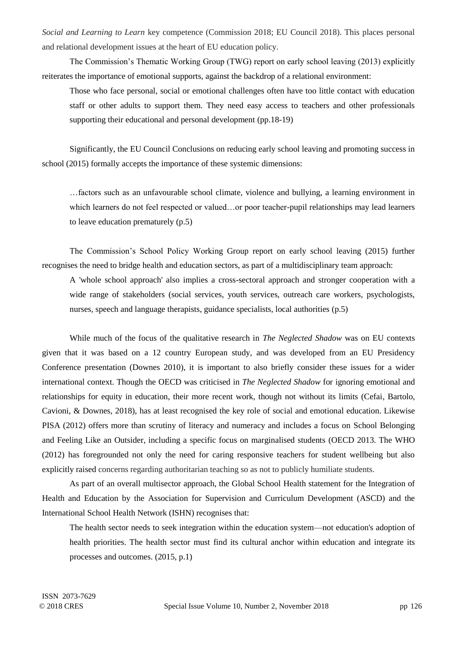*Social and Learning to Learn* key competence (Commission 2018; EU Council 2018). This places personal and relational development issues at the heart of EU education policy.

The Commission's Thematic Working Group (TWG) report on early school leaving (2013) explicitly reiterates the importance of emotional supports, against the backdrop of a relational environment:

Those who face personal, social or emotional challenges often have too little contact with education staff or other adults to support them. They need easy access to teachers and other professionals supporting their educational and personal development (pp.18-19)

Significantly, the EU Council Conclusions on reducing early school leaving and promoting success in school (2015) formally accepts the importance of these systemic dimensions:

…factors such as an unfavourable school climate, violence and bullying, a learning environment in which learners do not feel respected or valued…or poor teacher-pupil relationships may lead learners to leave education prematurely (p.5)

The Commission's School Policy Working Group report on early school leaving (2015) further recognises the need to bridge health and education sectors, as part of a multidisciplinary team approach:

A 'whole school approach' also implies a cross-sectoral approach and stronger cooperation with a wide range of stakeholders (social services, youth services, outreach care workers, psychologists, nurses, speech and language therapists, guidance specialists, local authorities (p.5)

While much of the focus of the qualitative research in *The Neglected Shadow* was on EU contexts given that it was based on a 12 country European study, and was developed from an EU Presidency Conference presentation (Downes 2010), it is important to also briefly consider these issues for a wider international context. Though the OECD was criticised in *The Neglected Shadow* for ignoring emotional and relationships for equity in education, their more recent work, though not without its limits (Cefai, Bartolo, Cavioni, & Downes, 2018), has at least recognised the key role of social and emotional education. Likewise PISA (2012) offers more than scrutiny of literacy and numeracy and includes a focus on School Belonging and Feeling Like an Outsider, including a specific focus on marginalised students (OECD 2013. The WHO (2012) has foregrounded not only the need for caring responsive teachers for student wellbeing but also explicitly raised concerns regarding authoritarian teaching so as not to publicly humiliate students.

As part of an overall multisector approach, the Global School Health statement [for the Integration of](http://www.ascd.org/ASCD/pdf/siteASCD/wholechild/Statement-for-the-Integration-of-Health-and-Education_English.pdf)  [Health and Education](http://www.ascd.org/ASCD/pdf/siteASCD/wholechild/Statement-for-the-Integration-of-Health-and-Education_English.pdf) by the Association for Supervision and Curriculum Development (ASCD) and the International School Health Network (ISHN) recognises that:

The health sector needs to seek integration within the education system—not education's adoption of health priorities. The health sector must find its cultural anchor within education and integrate its processes and outcomes. (2015, p.1)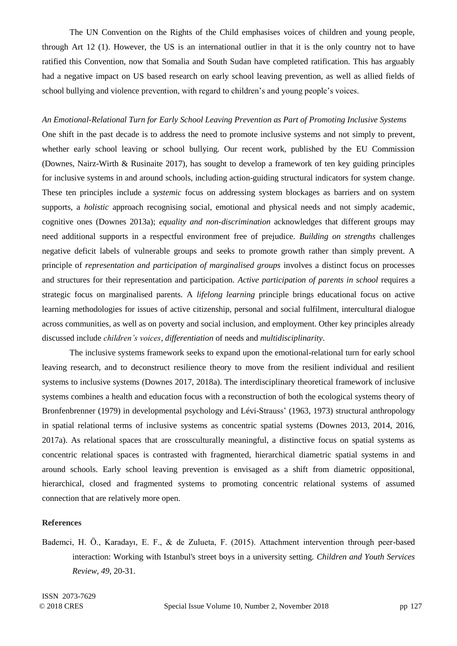The UN Convention on the Rights of the Child emphasises voices of children and young people, through Art 12 (1). However, the US is an international outlier in that it is the only country not to have ratified this Convention, now that Somalia and South Sudan have completed ratification. This has arguably had a negative impact on US based research on early school leaving prevention, as well as allied fields of school bullying and violence prevention, with regard to children's and young people's voices.

#### *An Emotional-Relational Turn for Early School Leaving Prevention as Part of Promoting Inclusive Systems*

One shift in the past decade is to address the need to promote inclusive systems and not simply to prevent, whether early school leaving or school bullying. Our recent work, published by the EU Commission (Downes, Nairz-Wirth & Rusinaite 2017), has sought to develop a framework of ten key guiding principles for inclusive systems in and around schools, including action-guiding structural indicators for system change. These ten principles include a *systemic* focus on addressing system blockages as barriers and on system supports, a *holistic* approach recognising social, emotional and physical needs and not simply academic, cognitive ones (Downes 2013a); *equality and non-discrimination* acknowledges that different groups may need additional supports in a respectful environment free of prejudice. *Building on strengths* challenges negative deficit labels of vulnerable groups and seeks to promote growth rather than simply prevent. A principle of *representation and participation of marginalised groups* involves a distinct focus on processes and structures for their representation and participation. *Active participation of parents in school* requires a strategic focus on marginalised parents. A *lifelong learning* principle brings educational focus on active learning methodologies for issues of active citizenship, personal and social fulfilment, intercultural dialogue across communities, as well as on poverty and social inclusion, and employment. Other key principles already discussed include *children's voices*, *differentiation* of needs and *multidisciplinarity*.

The inclusive systems framework seeks to expand upon the emotional-relational turn for early school leaving research, and to deconstruct resilience theory to move from the resilient individual and resilient systems to inclusive systems (Downes 2017, 2018a). The interdisciplinary theoretical framework of inclusive systems combines a health and education focus with a reconstruction of both the ecological systems theory of Bronfenbrenner (1979) in developmental psychology and Lévi-Strauss' (1963, 1973) structural anthropology in spatial relational terms of inclusive systems as concentric spatial systems (Downes 2013, 2014, 2016, 2017a). As relational spaces that are crossculturally meaningful, a distinctive focus on spatial systems as concentric relational spaces is contrasted with fragmented, hierarchical diametric spatial systems in and around schools. Early school leaving prevention is envisaged as a shift from diametric oppositional, hierarchical, closed and fragmented systems to promoting concentric relational systems of assumed connection that are relatively more open.

#### **References**

Bademci, H. Ö., Karadayı, E. F., & de Zulueta, F. (2015). Attachment intervention through peer-based interaction: Working with Istanbul's street boys in a university setting. *Children and Youth Services Review, 49*, 20-31.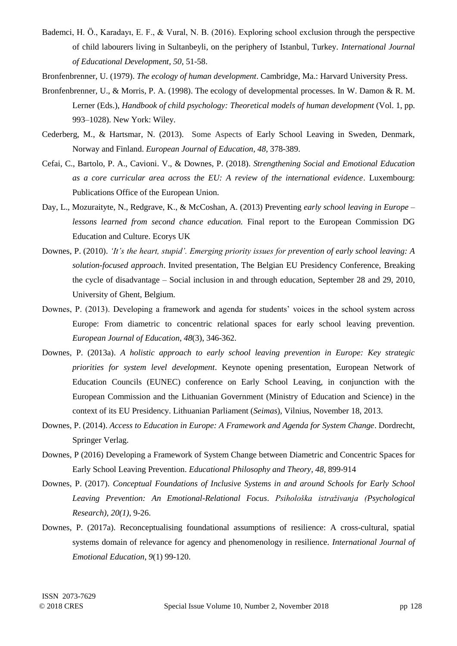- Bademci, H. Ö., Karadayı, E. F., & Vural, N. B. (2016). Exploring school exclusion through the perspective of child labourers living in Sultanbeyli, on the periphery of Istanbul, Turkey. *International Journal of Educational Development, 50*, 51-58.
- Bronfenbrenner, U. (1979). *The ecology of human development*. Cambridge, Ma.: Harvard University Press.
- Bronfenbrenner, U., & Morris, P. A. (1998). The ecology of developmental processes. In W. Damon & R. M. Lerner (Eds.), *Handbook of child psychology: Theoretical models of human development* (Vol. 1, pp. 993–1028). New York: Wiley.
- Cederberg, M., & Hartsmar, N. (2013). Some Aspects of Early School Leaving in Sweden, Denmark, Norway and Finland. *European Journal of Education, 48,* 378-389.
- Cefai, C., Bartolo, P. A., Cavioni. V., & Downes, P. (2018). *Strengthening Social and Emotional Education as a core curricular area across the EU: A review of the international evidence*. Luxembourg: Publications Office of the European Union.
- Day, L., Mozuraityte, N., Redgrave, K., & McCoshan, A. (2013) Preventing *early school leaving in Europe – lessons learned from second chance education.* Final report to the European Commission DG Education and Culture. Ecorys UK
- Downes, P. (2010). *'It's the heart, stupid'. Emerging priority issues for prevention of early school leaving: A solution-focused approach*. Invited presentation, The Belgian EU Presidency Conference, Breaking the cycle of disadvantage – Social inclusion in and through education, September 28 and 29, 2010, University of Ghent, Belgium.
- Downes, P. (2013). Developing a framework and agenda for students' voices in the school system across Europe: From diametric to concentric relational spaces for early school leaving prevention. *European Journal of Education*, *48*(3), 346-362.
- Downes, P. (2013a). *[A holistic approach to early school leaving prevention in Europe: Key strategic](http://www.spd.dcu.ie/site/edc/documents/EUNECpresentationVilniusNov17to192013.pdf)  [priorities for system level development](http://www.spd.dcu.ie/site/edc/documents/EUNECpresentationVilniusNov17to192013.pdf)*[.](http://www.spd.dcu.ie/site/edc/documents/EUNECpresentationVilniusNov17to192013.pdf) Keynote opening presentation, European Network of Education Councils (EUNEC) conference on Early School Leaving, in conjunction with the European Commission and the Lithuanian Government (Ministry of Education and Science) in the context of its EU Presidency. Lithuanian Parliament (*Seimas*), Vilnius, November 18, 2013.
- Downes, P. (2014). *Access to Education in Europe: A Framework and Agenda for System Change*. Dordrecht, Springer Verlag.
- Downes, P (2016) Developing a Framework of System Change between Diametric and Concentric Spaces for Early School Leaving Prevention. *Educational Philosophy and Theory, 48,* 899-914
- Downes, P. (2017). *Conceptual Foundations of Inclusive Systems in and around Schools for Early School Leaving Prevention: An Emotional-Relational Focus*. *Psihološka istraživanja (Psychological Research), 20(1)*, 9-26.
- Downes, P. (2017a). Reconceptualising foundational assumptions of resilience: A cross-cultural, spatial systems domain of relevance for agency and phenomenology in resilience. *International Journal of Emotional Education*, *9*(1) 99-120.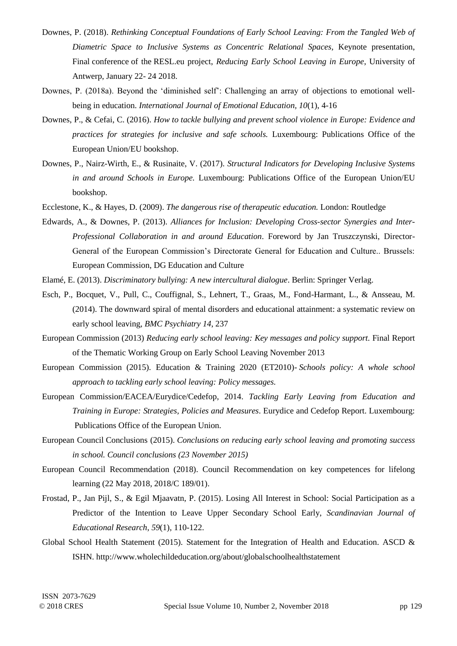- Downes, P. (2018). *Rethinking Conceptual Foundations of Early School Leaving: From the Tangled Web of Diametric Space to Inclusive Systems as Concentric Relational Spaces,* Keynote presentation, Final conference of the RESL.eu project, *Reducing Early School Leaving in Europe*, University of Antwerp, January 22- 24 2018.
- Downes, P. (2018a). Beyond the 'diminished self': Challenging an array of objections to emotional wellbeing in education. *International Journal of Emotional Education, 10*(1), 4-16
- Downes, P., & Cefai, C. (2016). *How to tackle bullying and prevent school violence in Europe: Evidence and practices for strategies for inclusive and safe schools.* Luxembourg: Publications Office of the European Union/EU bookshop.
- Downes, P., Nairz-Wirth, E., & Rusinaite, V. (2017). *Structural Indicators for Developing Inclusive Systems in and around Schools in Europe.* Luxembourg: Publications Office of the European Union/EU bookshop.
- Ecclestone, K., & Hayes, D. (2009). *The dangerous rise of therapeutic education.* London: Routledge
- Edwards, A., & Downes, P. (2013). *Alliances for Inclusion: Developing Cross-sector Synergies and Inter-Professional Collaboration in and around Education*. Foreword by Jan Truszczynski, Director-General of the European Commission's Directorate General for Education and Culture.. Brussels: European Commission, DG Education and Culture
- Elamé, E. (2013). *Discriminatory bullying: A new intercultural dialogue*. Berlin: Springer Verlag.
- Esch, P., Bocquet, V., Pull, C., Couffignal, S., Lehnert, T., Graas, M., Fond-Harmant, L., & Ansseau, M. (2014). The downward spiral of mental disorders and educational attainment: a systematic review on early school leaving, *BMC Psychiatry 14*, 237
- European [Commission](http://www.dcu.ie/sites/default/files/edc/pdf/reducingeslkeymessagesandpolicysupportnov2013twgreportfinal.pdf) (2013) *Reducing early school leaving: Key messages and policy support.* Final Report of the Thematic Working Group on Early School Leaving [November](http://www.dcu.ie/sites/default/files/edc/pdf/reducingeslkeymessagesandpolicysupportnov2013twgreportfinal.pdf) 2013
- European [Commission](http://ec.europa.eu/assets/eac/education/experts-groups/2014-2015/school/early-leaving-policy_en.pdf) (2015). Education & Training 2020 (ET2010)- *Schools policy: A whole school approach to tackling early school leaving: Policy [messages.](http://ec.europa.eu/assets/eac/education/experts-groups/2014-2015/school/early-leaving-policy_en.pdf)*
- European [Commission/EACEA/Eurydice/Cedefop,](http://www.dcu.ie/sites/default/files/edc/pdf/eurydicetacklingearlyleavingineurope2015.pdf) 2014. *Tackling Early Leaving from Education and Training in Europe: Strategies, Policies and Measures*. Eurydice and Cedefop Report. [Luxembourg:](http://www.dcu.ie/sites/default/files/edc/pdf/eurydicetacklingearlyleavingineurope2015.pdf) [Publications](http://www.dcu.ie/sites/default/files/edc/pdf/eurydicetacklingearlyleavingineurope2015.pdf) Office of the European Union.
- [European](http://data.consilium.europa.eu/doc/document/ST-14441-2015-INIT/en/pdf) Council Conclusions (2015). *[Conclusions](http://data.consilium.europa.eu/doc/document/ST-14441-2015-INIT/en/pdf) on reducing early school leaving and [promoting](http://data.consilium.europa.eu/doc/document/ST-14441-2015-INIT/en/pdf) success in school. Council [conclusions](http://data.consilium.europa.eu/doc/document/ST-14441-2015-INIT/en/pdf) (23 November 2015)*
- European Council Recommendation (2018). Council Recommendation on key competences for lifelong learning (22 May 2018, 2018/C 189/01).
- Frostad, P., Jan Pijl, S., & Egil Mjaavatn, P. (2015). Losing All Interest in School: Social Participation as a Predictor of the Intention to Leave Upper Secondary School Early, *Scandinavian Journal of Educational Research*, *59*(1), 110-122.
- Global School Health Statement (2015). [Statement for the Integration of Health and Education.](http://www.ascd.org/ASCD/pdf/siteASCD/wholechild/Statement-for-the-Integration-of-Health-and-Education_English.pdf) ASCD & ISHN. http://www.wholechildeducation.org/about/globalschoolhealthstatement